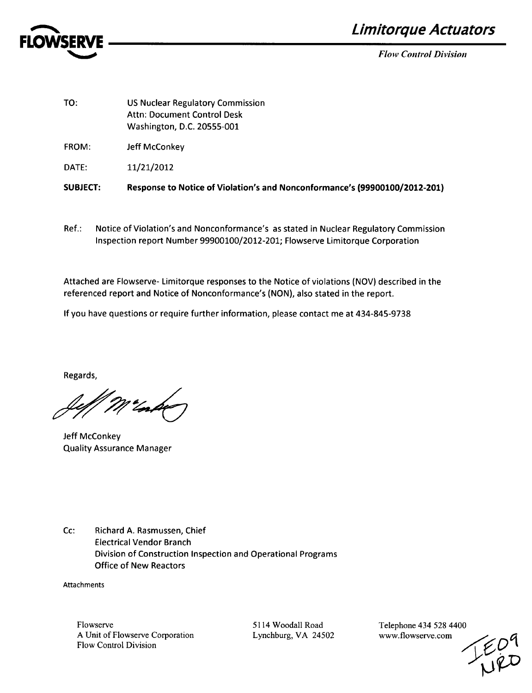

**Limitorque Actuators** 

*Flow Control Division*

| <b>SUBJECT:</b> | Response to Notice of Violation's and Nonconformance's (99900100/2012-201)                                  |
|-----------------|-------------------------------------------------------------------------------------------------------------|
| DATE:           | 11/21/2012                                                                                                  |
| <b>FROM:</b>    | Jeff McConkey                                                                                               |
| TO:             | <b>US Nuclear Regulatory Commission</b><br><b>Attn: Document Control Desk</b><br>Washington, D.C. 20555-001 |

Ref.: Notice of Violation's and Nonconformance's as stated in Nuclear Regulatory Commission Inspection report Number 99900100/2012-201; Flowserve Limitorque Corporation

Attached are Flowserve- Limitorque responses to the Notice of violations (NOV) described in the referenced report and Notice of Nonconformance's (NON), also stated in the report.

If you have questions or require further information, please contact me at 434-845-9738

Regards,

Jeff McConkey Quality Assurance Manager

Cc: Richard A. Rasmussen, Chief Electrical Vendor Branch Division of Construction Inspection and Operational Programs Office of New Reactors

Attachments

5114 Woodall Road Lynchburg, VA 24502 Telephone 434 528 4400 www.flowserve.com

 $E_{\mu}^{D}P$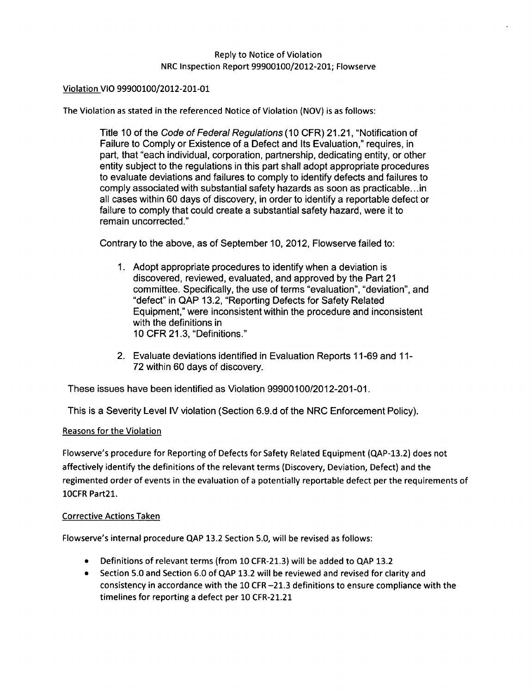## Reply to Notice of Violation NRC Inspection Report 99900100/2012-201; Flowserve

## Violation VIO 99900100/2012-201-01

The Violation as stated in the referenced Notice of Violation (NOV) is as follows:

Title 10 of the Code *of Federal Regulations (10* CFR) 21.21, "Notification of Failure to Comply or Existence of a Defect and Its Evaluation," requires, in part, that "each individual, corporation, partnership, dedicating entity, or other entity subject to the regulations in this part shall adopt appropriate procedures to evaluate deviations and failures to comply to identify defects and failures to comply associated with substantial safety hazards as soon as practicable... in all cases within 60 days of discovery, in order to identify a reportable defect or failure to comply that could create a substantial safety hazard, were it to remain uncorrected."

Contrary to the above, as of September 10, 2012, Flowserve failed to:

- 1. Adopt appropriate procedures to identify when a deviation is discovered, reviewed, evaluated, and approved by the Part 21 committee. Specifically, the use of terms "evaluation", "deviation", and "defect" in QAP 13.2, "Reporting Defects for Safety Related Equipment," were inconsistent within the procedure and inconsistent with the definitions in 10 CFR 21.3, "Definitions."
- 2. Evaluate deviations identified in Evaluation Reports 11-69 and 11- 72 within 60 days of discovery.

These issues have been identified as Violation 99900100/2012-201-01.

This is a Severity Level IV violation (Section 6.9.d of the NRC Enforcement Policy).

## Reasons for the Violation

Flowserve's procedure for Reporting of Defects for Safety Related Equipment (QAP-13.2) does not affectively identify the definitions of the relevant terms (Discovery, Deviation, Defect) and the regimented order of events in the evaluation of a potentially reportable defect per the requirements of 10CFR Part2l.

#### Corrective Actions Taken

Flowserve's internal procedure **QAP** 13.2 Section 5.0, will be revised as follows:

- \* Definitions of relevant terms (from **10** CFR-21.3) will be added to **QAP** 13.2
- \* Section 5.0 and Section 6.0 of **QAP** 13.2 will be reviewed and revised for clarity and consistency in accordance with the **10** CFR -21.3 definitions to ensure compliance with the timelines for reporting a defect per 10 CFR-21.21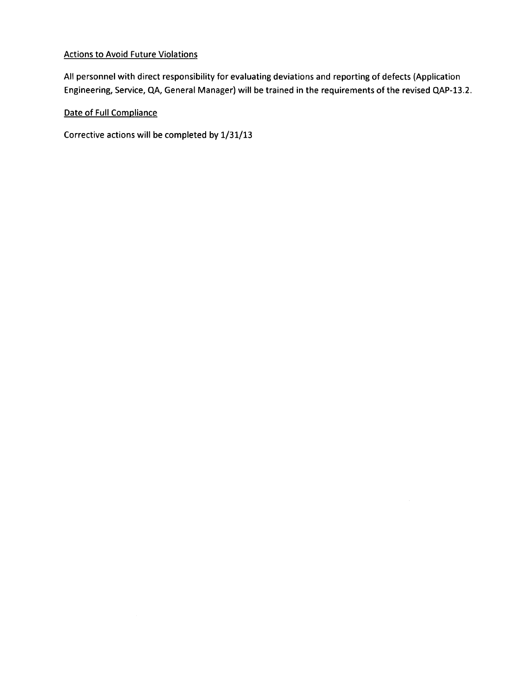# Actions to Avoid Future Violations

All personnel with direct responsibility for evaluating deviations and reporting of defects (Application Engineering, Service, **QA,** General Manager) will be trained in the requirements of the revised QAP-13.2.

Date of Full Compliance

Corrective actions will be completed by 1/31/13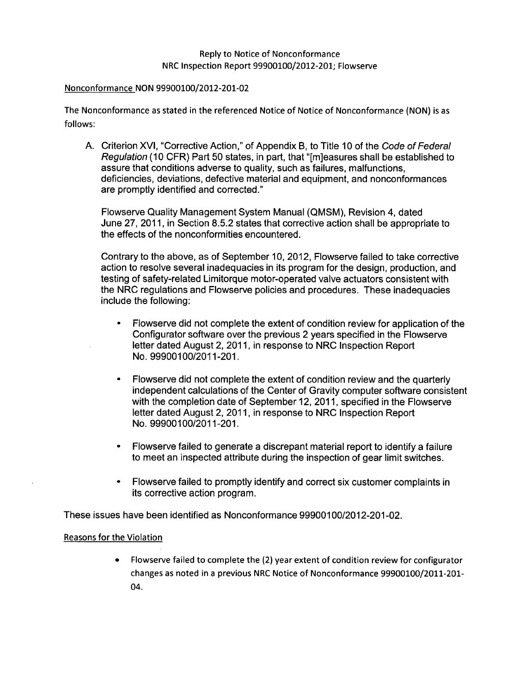#### Nonconformance NON 99900100/2012-201-02

The Nonconformance as stated in the referenced Notice of Notice of Nonconformance (NON) is as follows:

A. Criterion XVI, "Corrective Action," of Appendix B, to Title 10 of the Code *of Federal Regulation* (10 CFR) Part 50 states, in part, that "[m]easures shall be established to assure that conditions adverse to quality, such as failures, malfunctions, deficiencies, deviations, defective material and equipment, and nonconformances are promptly identified and corrected."

Flowserve Quality Management System Manual (QMSM), Revision 4, dated June 27, 2011, in Section 8.5.2 states that corrective action shall be appropriate to the effects of the nonconformities encountered.

Contrary to the above, as of September 10, 2012, Flowserve failed to take corrective action to resolve several inadequacies in its program for the design, production, and testing of safety-related Limitorque motor-operated valve actuators consistent with the NRC regulations and Flowserve policies and procedures. These inadequacies include the following:

- **0** Flowserve did not complete the extent of condition review for application of the Configurator software over the previous 2 years specified in the Flowserve letter dated August 2, 2011, in response to NRC Inspection Report No. 99900100/2011-201.
- **0** Flowserve did not complete the extent of condition review and the quarterly independent calculations of the Center of Gravity computer software consistent with the completion date of September 12, 2011, specified in the Flowserve letter dated August 2, 2011, in response to NRC Inspection Report No. 99900100/2011-201.
- **0** Flowserve failed to generate a discrepant material report to identify a failure to meet an inspected attribute during the inspection of gear limit switches.
- **0** Flowserve failed to promptly identify and correct six customer complaints in its corrective action program.

These issues have been identified as Nonconformance 99900100/2012-201-02.

## Reasons for the Violation

Flowserve failed to complete the (2) year extent of condition review for configurator  $\bullet$ changes as noted in a previous NRC Notice of Nonconformance 99900100/2011-201- 04.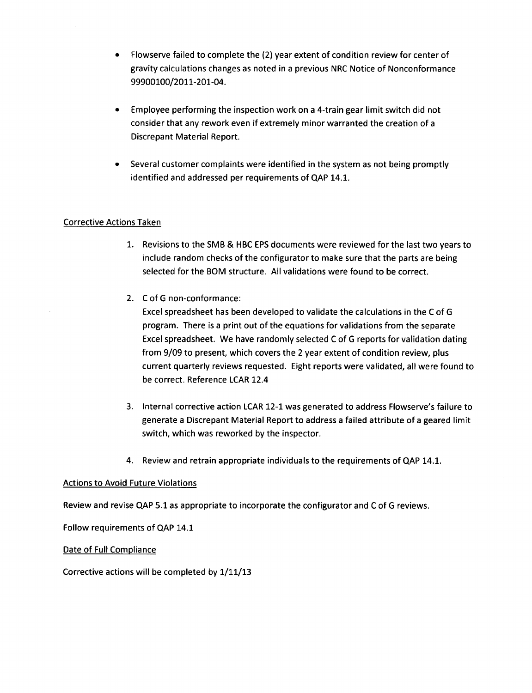- \* Flowserve failed to complete the (2) year extent of condition review for center of gravity calculations changes as noted in a previous NRC Notice of Nonconformance 99900100/2011-201-04.
- Employee performing the inspection work on a 4-train gear limit switch did not consider that any rework even if extremely minor warranted the creation of a Discrepant Material Report.
- Several customer complaints were identified in the system as not being promptly identified and addressed per requirements of QAP 14.1.

# Corrective Actions Taken

- 1. Revisions to the SMB & HBC EPS documents were reviewed for the last two years to include random checks of the configurator to make sure that the parts are being selected for the BOM structure. All validations were found to be correct.
- 2. C of G non-conformance:

Excel spreadsheet has been developed to validate the calculations in the C of G program. There is a print out of the equations for validations from the separate Excel spreadsheet. We have randomly selected C of G reports for validation dating from 9/09 to present, which covers the 2 year extent of condition review, plus current quarterly reviews requested. Eight reports were validated, all were found to be correct. Reference LCAR 12.4

- 3. Internal corrective action LCAR 12-1 was generated to address Flowserve's failure to generate a Discrepant Material Report to address a failed attribute of a geared limit switch, which was reworked by the inspector.
- 4. Review and retrain appropriate individuals to the requirements of QAP 14.1.

## Actions to Avoid Future Violations

Review and revise **QAP 5.1** as appropriate to incorporate the configurator and C of G reviews.

Follow requirements of QAP 14.1

Date of Full Compliance

Corrective actions will be completed by 1/11/13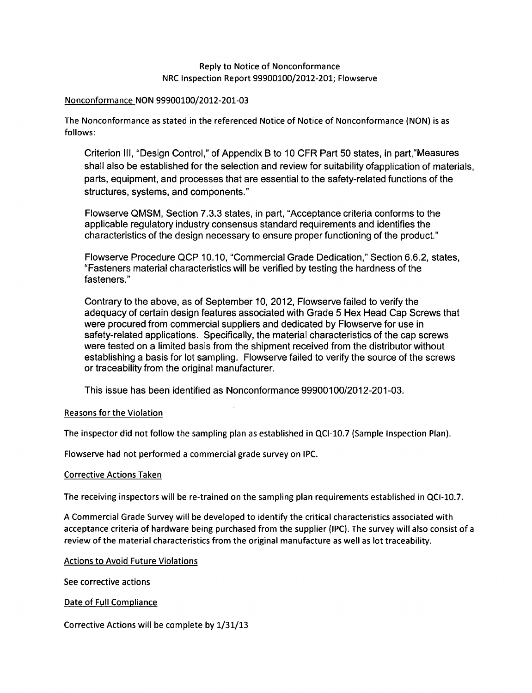### Nonconformance NON 99900100/2012-201-03

The Nonconformance as stated in the referenced Notice of Notice of Nonconformance (NON) is as follows:

Criterion Ill, "Design Control," of Appendix B to 10 CFR Part 50 states, in part,"Measures shall also be established for the selection and review for suitability ofapplication of materials, parts, equipment, and processes that are essential to the safety-related functions of the structures, systems, and components."

Flowserve QMSM, Section 7.3.3 states, in part, "Acceptance criteria conforms to the applicable regulatory industry consensus standard requirements and identifies the characteristics of the design necessary to ensure proper functioning of the product."

Flowserve Procedure QCP 10.10, "Commercial Grade Dedication," Section 6.6.2, states, "Fasteners material characteristics will be verified by testing the hardness of the fasteners."

Contrary to the above, as of September 10, 2012, Flowserve failed to verify the adequacy of certain design features associated with Grade 5 Hex Head Cap Screws that were procured from commercial suppliers and dedicated by Flowserve for use in safety-related applications. Specifically, the material characteristics of the cap screws were tested on a limited basis from the shipment received from the distributor without establishing a basis for lot sampling. Flowserve failed to verify the source of the screws or traceability from the original manufacturer.

This issue has been identified as Nonconformance 99900100/2012-201-03.

## Reasons for the Violation

The inspector did not follow the sampling plan as established in QCI-10.7 (Sample Inspection Plan).

Flowserve had not performed a commercial grade survey on IPC.

## Corrective Actions Taken

The receiving inspectors will be re-trained on the sampling plan requirements established in QCI-10.7.

A Commercial Grade Survey will be developed to identify the critical characteristics associated with acceptance criteria of hardware being purchased from the supplier (IPC). The survey will also consist of a review of the material characteristics from the original manufacture as well as lot traceability.

Actions to Avoid Future Violations

See corrective actions

Date of Full Compliance

Corrective Actions will be complete by **1/31/13**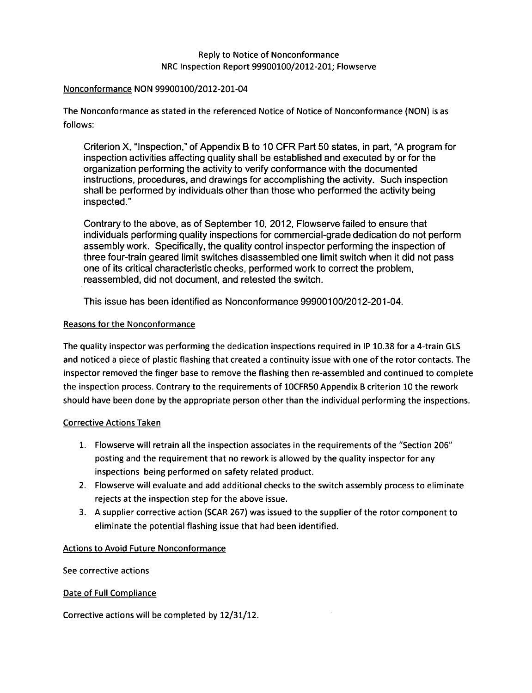### Nonconformance NON 99900100/2012-201-04

The Nonconformance as stated in the referenced Notice of Notice of Nonconformance (NON) is as follows:

Criterion X, "Inspection," of Appendix B to 10 CFR Part 50 states, in part, "A program for inspection activities affecting quality shall be established and executed by or for the organization performing the activity to verify conformance with the documented instructions, procedures, and drawings for accomplishing the activity. Such inspection shall be performed by individuals other than those who performed the activity being inspected."

Contrary to the above, as of September 10, 2012, Flowserve failed to ensure that individuals performing quality inspections for commercial-grade dedication do not perform assembly work. Specifically, the quality control inspector performing the inspection of three four-train geared limit switches disassembled one limit switch when it did not pass one of its critical characteristic checks, performed work to correct the problem, reassembled, did not document, and retested the switch.

This issue has been identified as Nonconformance 99900100/2012-201-04.

## Reasons for the Nonconformance

The quality inspector was performing the dedication inspections required in IP 10.38 for a 4-train GLS and noticed a piece of plastic flashing that created a continuity issue with one of the rotor contacts. The inspector removed the finger base to remove the flashing then re-assembled and continued to complete the inspection process. Contrary to the requirements of 10CFR50 Appendix B criterion 10 the rework should have been done by the appropriate person other than the individual performing the inspections.

## Corrective Actions Taken

- 1. Flowserve will retrain all the inspection associates in the requirements of the "Section 206" posting and the requirement that no rework is allowed by the quality inspector for any inspections being performed on safety related product.
- 2. Flowserve will evaluate and add additional checks to the switch assembly process to eliminate rejects at the inspection step for the above issue.
- 3. A supplier corrective action (SCAR 267) was issued to the supplier of the rotor component to eliminate the potential flashing issue that had been identified.

## Actions to Avoid Future Nonconformance

See corrective actions

#### Date of Full Compliance

Corrective actions will be completed by 12/31/12.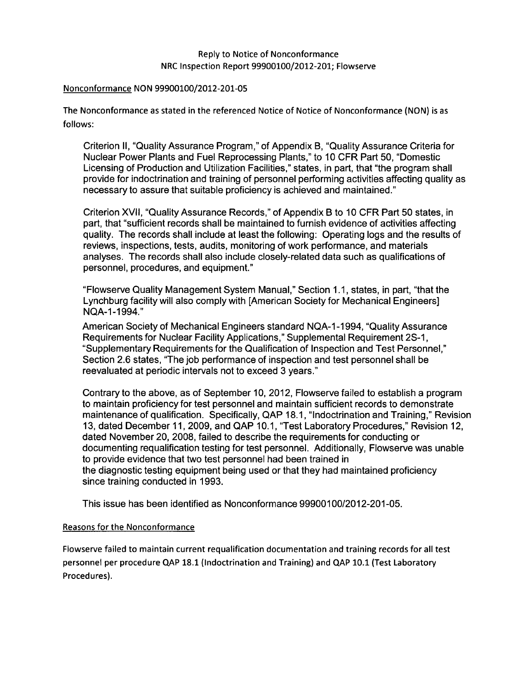#### Nonconformance NON 99900100/2012-201-05

The Nonconformance as stated in the referenced Notice of Notice of Nonconformance (NON) is as follows:

Criterion II, "Quality Assurance Program," of Appendix B, "Quality Assurance Criteria for Nuclear Power Plants and Fuel Reprocessing Plants," to 10 CFR Part 50, "Domestic Licensing of Production and Utilization Facilities," states, in part, that "the program shall provide for indoctrination and training of personnel performing activities affecting quality as necessary to assure that suitable proficiency is achieved and maintained."

Criterion XVII, "Quality Assurance Records," of Appendix B to 10 CFR Part 50 states, in part, that "sufficient records shall be maintained to furnish evidence of activities affecting quality. The records shall include at least the following: Operating logs and the results of reviews, inspections, tests, audits, monitoring of work performance, and materials analyses. The records shall also include closely-related data such as qualifications of personnel, procedures, and equipment."

"Flowserve Quality Management System Manual," Section 1.1, states, in part, "that the Lynchburg facility will also comply with [American Society for Mechanical Engineers] NQA-1-1994."

American Society of Mechanical Engineers standard NQA-1 -1994, "Quality Assurance Requirements for Nuclear Facility Applications," Supplemental Requirement 2S-1, "Supplementary Requirements for the Qualification of Inspection and Test Personnel," Section 2.6 states, "The job performance of inspection and test personnel shall be reevaluated at periodic intervals not to exceed 3 years."

Contrary to the above, as of September 10, 2012, Flowserve failed to establish a program to maintain proficiency for test personnel and maintain sufficient records to demonstrate maintenance of qualification. Specifically, QAP 18.1, "Indoctrination and Training," Revision 13, dated December 11,2009, and QAP 10.1, "Test Laboratory Procedures," Revision 12, dated November 20, 2008, failed to describe the requirements for conducting or documenting requalification testing for test personnel. Additionally, Flowserve was unable to provide evidence that two test personnel had been trained in the diagnostic testing equipment being used or that they had maintained proficiency since training conducted in 1993.

This issue has been identified as Nonconformance 99900100/2012-201-05.

## Reasons for the Nonconformance

Flowserve failed to maintain current requalification documentation and training records for all test personnel per procedure **QAP** 18.1 (Indoctrination and Training) and QAP 10.1 (Test Laboratory Procedures).